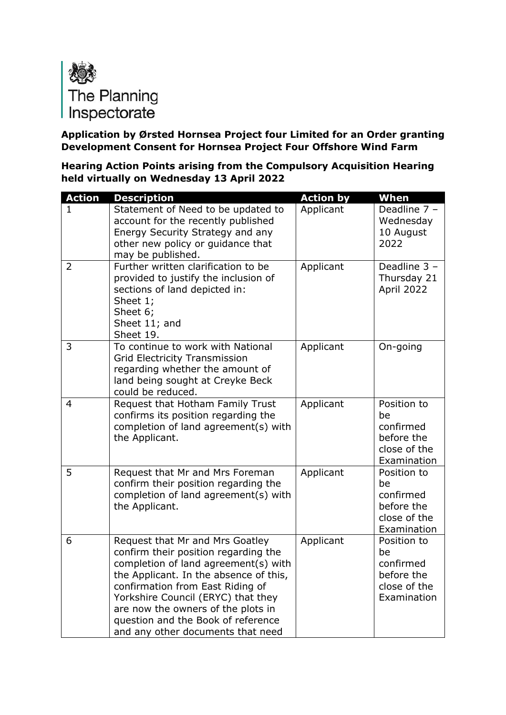

**Application by Ørsted Hornsea Project four Limited for an Order granting Development Consent for Hornsea Project Four Offshore Wind Farm**

**Hearing Action Points arising from the Compulsory Acquisition Hearing held virtually on Wednesday 13 April 2022**

| <b>Action</b>  | <b>Description</b>                                                                                                                                                                                                                                                                                                                                   | <b>Action by</b> | When                                                                        |
|----------------|------------------------------------------------------------------------------------------------------------------------------------------------------------------------------------------------------------------------------------------------------------------------------------------------------------------------------------------------------|------------------|-----------------------------------------------------------------------------|
| 1              | Statement of Need to be updated to<br>account for the recently published<br>Energy Security Strategy and any<br>other new policy or guidance that<br>may be published.                                                                                                                                                                               | Applicant        | Deadline 7 -<br>Wednesday<br>10 August<br>2022                              |
| $\overline{2}$ | Further written clarification to be<br>provided to justify the inclusion of<br>sections of land depicted in:<br>Sheet 1;<br>Sheet 6;<br>Sheet 11; and<br>Sheet 19.                                                                                                                                                                                   | Applicant        | Deadline 3 -<br>Thursday 21<br>April 2022                                   |
| 3              | To continue to work with National<br><b>Grid Electricity Transmission</b><br>regarding whether the amount of<br>land being sought at Creyke Beck<br>could be reduced.                                                                                                                                                                                | Applicant        | On-going                                                                    |
| $\overline{4}$ | Request that Hotham Family Trust<br>confirms its position regarding the<br>completion of land agreement(s) with<br>the Applicant.                                                                                                                                                                                                                    | Applicant        | Position to<br>be<br>confirmed<br>before the<br>close of the<br>Examination |
| 5              | Request that Mr and Mrs Foreman<br>confirm their position regarding the<br>completion of land agreement(s) with<br>the Applicant.                                                                                                                                                                                                                    | Applicant        | Position to<br>be<br>confirmed<br>before the<br>close of the<br>Examination |
| 6              | Request that Mr and Mrs Goatley<br>confirm their position regarding the<br>completion of land agreement(s) with<br>the Applicant. In the absence of this,<br>confirmation from East Riding of<br>Yorkshire Council (ERYC) that they<br>are now the owners of the plots in<br>question and the Book of reference<br>and any other documents that need | Applicant        | Position to<br>be<br>confirmed<br>before the<br>close of the<br>Examination |